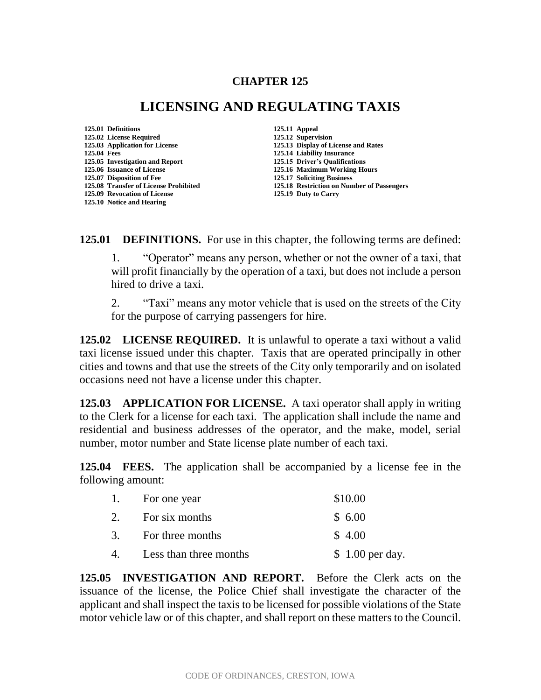## **CHAPTER 125**

## **LICENSING AND REGULATING TAXIS**

**125.01 Definitions 125.11 Appeal 125.02 License Required 125.12 Supervision 125.04 Fees 125.14 Liability Insurance 125.05 Investigation and Report 125.06 Issuance of License 125.16 Maximum Working Hours 125.07 Disposition of Fee 125.17 Soliciting Business 125.09 Revocation of License 125.10 Notice and Hearing**

**125.03 Application for License 125.13 Display of License and Rates 125.08 Transfer of License Prohibited 125.18 Restriction on Number of Passengers**

**125.01 DEFINITIONS.** For use in this chapter, the following terms are defined:

1. "Operator" means any person, whether or not the owner of a taxi, that will profit financially by the operation of a taxi, but does not include a person hired to drive a taxi.

2. "Taxi" means any motor vehicle that is used on the streets of the City for the purpose of carrying passengers for hire.

**125.02 LICENSE REQUIRED.** It is unlawful to operate a taxi without a valid taxi license issued under this chapter. Taxis that are operated principally in other cities and towns and that use the streets of the City only temporarily and on isolated occasions need not have a license under this chapter.

**125.03 APPLICATION FOR LICENSE.** A taxi operator shall apply in writing to the Clerk for a license for each taxi. The application shall include the name and residential and business addresses of the operator, and the make, model, serial number, motor number and State license plate number of each taxi.

**125.04 FEES.** The application shall be accompanied by a license fee in the following amount:

|    | 1. For one year        | \$10.00          |
|----|------------------------|------------------|
| 2. | For six months         | \$6.00           |
|    | 3. For three months    | \$4.00           |
| 4. | Less than three months | $$1.00$ per day. |

**125.05 INVESTIGATION AND REPORT.** Before the Clerk acts on the issuance of the license, the Police Chief shall investigate the character of the applicant and shall inspect the taxis to be licensed for possible violations of the State motor vehicle law or of this chapter, and shall report on these matters to the Council.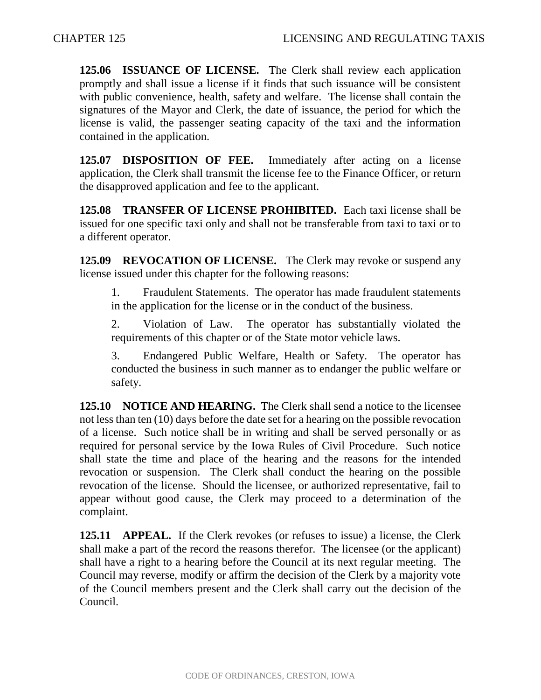**125.06 ISSUANCE OF LICENSE.** The Clerk shall review each application promptly and shall issue a license if it finds that such issuance will be consistent with public convenience, health, safety and welfare. The license shall contain the signatures of the Mayor and Clerk, the date of issuance, the period for which the license is valid, the passenger seating capacity of the taxi and the information contained in the application.

**125.07 DISPOSITION OF FEE.** Immediately after acting on a license application, the Clerk shall transmit the license fee to the Finance Officer, or return the disapproved application and fee to the applicant.

**125.08 TRANSFER OF LICENSE PROHIBITED.** Each taxi license shall be issued for one specific taxi only and shall not be transferable from taxi to taxi or to a different operator.

**125.09 REVOCATION OF LICENSE.** The Clerk may revoke or suspend any license issued under this chapter for the following reasons:

1. Fraudulent Statements. The operator has made fraudulent statements in the application for the license or in the conduct of the business.

2. Violation of Law. The operator has substantially violated the requirements of this chapter or of the State motor vehicle laws.

3. Endangered Public Welfare, Health or Safety. The operator has conducted the business in such manner as to endanger the public welfare or safety.

**125.10 NOTICE AND HEARING.** The Clerk shall send a notice to the licensee not less than ten (10) days before the date set for a hearing on the possible revocation of a license. Such notice shall be in writing and shall be served personally or as required for personal service by the Iowa Rules of Civil Procedure. Such notice shall state the time and place of the hearing and the reasons for the intended revocation or suspension. The Clerk shall conduct the hearing on the possible revocation of the license. Should the licensee, or authorized representative, fail to appear without good cause, the Clerk may proceed to a determination of the complaint.

**125.11 APPEAL.** If the Clerk revokes (or refuses to issue) a license, the Clerk shall make a part of the record the reasons therefor. The licensee (or the applicant) shall have a right to a hearing before the Council at its next regular meeting. The Council may reverse, modify or affirm the decision of the Clerk by a majority vote of the Council members present and the Clerk shall carry out the decision of the Council.